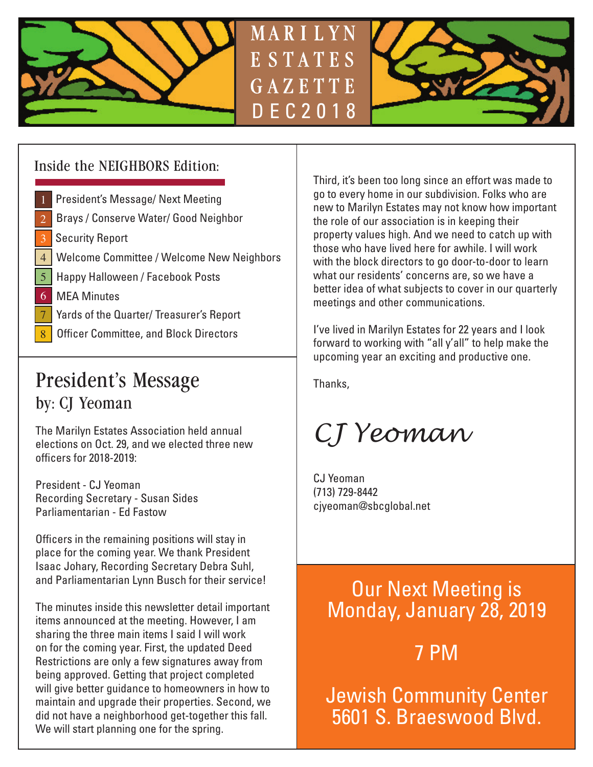



## Inside the NEIGHBORS Edition:

- 1 President's Message/ Next Meeting
- Brays / Conserve Water/ Good Neighbor 2
- 3 | Security Report
- 4 | Welcome Committee / Welcome New Neighbors
- 5 | Happy Halloween / Facebook Posts
- 6 MEA Minutes
- 7 **Yards of the Quarter/ Treasurer's Report**
- **Officer Committee, and Block Directors**

## President's Message by: CJ Yeoman

The Marilyn Estates Association held annual elections on Oct. 29, and we elected three new officers for 2018-2019:

President - CJ Yeoman Recording Secretary - Susan Sides Parliamentarian - Ed Fastow

Officers in the remaining positions will stay in place for the coming year. We thank President Isaac Johary, Recording Secretary Debra Suhl, and Parliamentarian Lynn Busch for their service!

The minutes inside this newsletter detail important items announced at the meeting. However, I am sharing the three main items I said I will work on for the coming year. First, the updated Deed Restrictions are only a few signatures away from being approved. Getting that project completed will give better guidance to homeowners in how to maintain and upgrade their properties. Second, we did not have a neighborhood get-together this fall. We will start planning one for the spring.

Third, it's been too long since an effort was made to go to every home in our subdivision. Folks who are new to Marilyn Estates may not know how important the role of our association is in keeping their property values high. And we need to catch up with those who have lived here for awhile. I will work with the block directors to go door-to-door to learn what our residents' concerns are, so we have a better idea of what subjects to cover in our quarterly meetings and other communications.

I've lived in Marilyn Estates for 22 years and I look forward to working with "all y'all" to help make the upcoming year an exciting and productive one.

Thanks,

MARILYN

*CJ Yeoman*

CJ Yeoman (713) 729-8442 cjyeoman@sbcglobal.net

## Our Next Meeting is Monday, January 28, 2019

7 PM

Jewish Community Center 5601 S. Braeswood Blvd.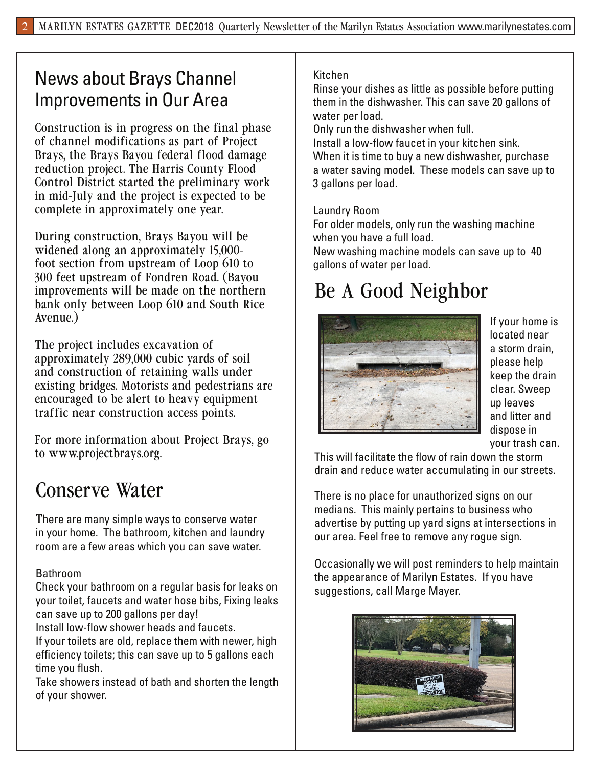## News about Brays Channel Improvements in Our Area

Construction is in progress on the final phase of channel modifications as part of Project Brays, the Brays Bayou federal flood damage reduction project. The Harris County Flood Control District started the preliminary work in mid-July and the project is expected to be complete in approximately one year.

During construction, Brays Bayou will be widened along an approximately 15,000 foot section from upstream of Loop 610 to 300 feet upstream of Fondren Road. (Bayou improvements will be made on the northern bank only between Loop 610 and South Rice Avenue.)

The project includes excavation of approximately 289,000 cubic yards of soil and construction of retaining walls under existing bridges. Motorists and pedestrians are encouraged to be alert to heavy equipment traffic near construction access points.

For more information about Project Brays, go to www.projectbrays.org.

## Conserve Water

There are many simple ways to conserve water in your home. The bathroom, kitchen and laundry room are a few areas which you can save water.

## Bathroom

Check your bathroom on a regular basis for leaks on your toilet, faucets and water hose bibs, Fixing leaks can save up to 200 gallons per day!

Install low-flow shower heads and faucets.

If your toilets are old, replace them with newer, high efficiency toilets; this can save up to 5 gallons each time you flush.

Take showers instead of bath and shorten the length of your shower.

## Kitchen

Rinse your dishes as little as possible before putting them in the dishwasher. This can save 20 gallons of water per load.

Only run the dishwasher when full.

Install a low-flow faucet in your kitchen sink. When it is time to buy a new dishwasher, purchase a water saving model. These models can save up to 3 gallons per load.

### Laundry Room

For older models, only run the washing machine when you have a full load.

New washing machine models can save up to 40 gallons of water per load.

# Be A Good Neighbor



If your home is located near a storm drain, please help keep the drain clear. Sweep up leaves and litter and dispose in your trash can.

This will facilitate the flow of rain down the storm drain and reduce water accumulating in our streets.

There is no place for unauthorized signs on our medians. This mainly pertains to business who advertise by putting up yard signs at intersections in our area. Feel free to remove any rogue sign.

Occasionally we will post reminders to help maintain the appearance of Marilyn Estates. If you have suggestions, call Marge Mayer.

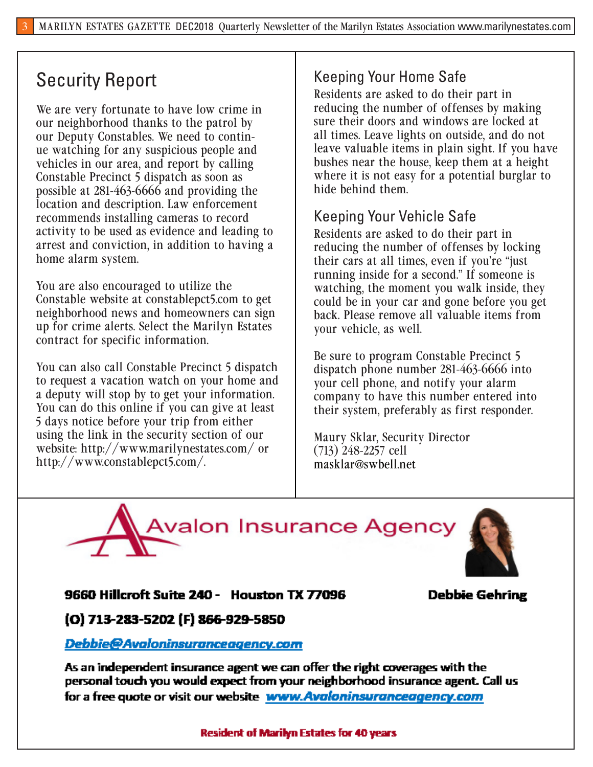## Security Report

We are very fortunate to have low crime in our neighborhood thanks to the patrol by our Deputy Constables. We need to continue watching for any suspicious people and vehicles in our area, and report by calling Constable Precinct 5 dispatch as soon as possible at 281-463-6666 and providing the location and description. Law enforcement recommends installing cameras to record activity to be used as evidence and leading to arrest and conviction, in addition to having a home alarm system.

You are also encouraged to utilize the Constable website at constablepct5.com to get neighborhood news and homeowners can sign up for crime alerts. Select the Marilyn Estates contract for specific information.

You can also call Constable Precinct 5 dispatch to request a vacation watch on your home and a deputy will stop by to get your information. You can do this online if you can give at least 5 days notice before your trip from either using the link in the security section of our website: http://www.marilynestates.com/ or http://www.constablepct5.com/.

## Keeping Your Home Safe

Residents are asked to do their part in reducing the number of offenses by making sure their doors and windows are locked at all times. Leave lights on outside, and do not leave valuable items in plain sight. If you have bushes near the house, keep them at a height where it is not easy for a potential burglar to hide behind them.

## Keeping Your Vehicle Safe

Residents are asked to do their part in reducing the number of offenses by locking their cars at all times, even if you're "just running inside for a second." If someone is watching, the moment you walk inside, they could be in your car and gone before you get back. Please remove all valuable items from your vehicle, as well.

Be sure to program Constable Precinct 5 dispatch phone number 281-463-6666 into your cell phone, and notify your alarm company to have this number entered into their system, preferably as first responder.

Maury Sklar, Security Director (713) 248-2257 cell masklar@swbell.net





## 9660 Hillcroft Suite 240 - Houston TX 77096

## **Debbie Gehring**

## (O) 713-283-5202 (F) 866-929-5850

## Debbie@Avaloninsuranceagency.com

As an independent insurance agent we can offer the right coverages with the personal touch you would expect from your neighborhood insurance agent. Call us for a free quote or visit our website www.Avaloninsuranceagency.com

### **Resident of Marilyn Estates for 40 years**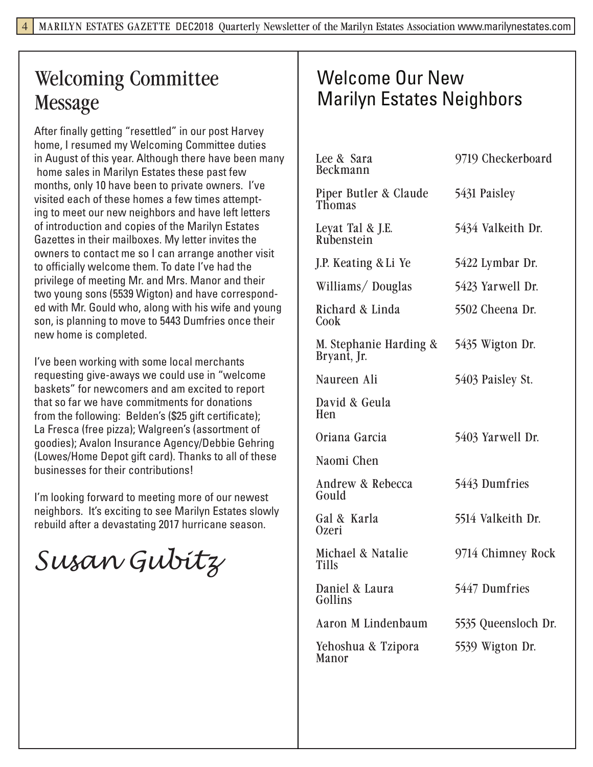# Welcoming Committee Message

After finally getting "resettled" in our post Harvey home, I resumed my Welcoming Committee duties in August of this year. Although there have been many home sales in Marilyn Estates these past few months, only 10 have been to private owners. I've visited each of these homes a few times attempting to meet our new neighbors and have left letters of introduction and copies of the Marilyn Estates Gazettes in their mailboxes. My letter invites the owners to contact me so I can arrange another visit to officially welcome them. To date I've had the privilege of meeting Mr. and Mrs. Manor and their two young sons (5539 Wigton) and have corresponded with Mr. Gould who, along with his wife and young son, is planning to move to 5443 Dumfries once their new home is completed.

I've been working with some local merchants requesting give-aways we could use in "welcome baskets" for newcomers and am excited to report that so far we have commitments for donations from the following: Belden's (\$25 gift certificate); La Fresca (free pizza); Walgreen's (assortment of goodies); Avalon Insurance Agency/Debbie Gehring (Lowes/Home Depot gift card). Thanks to all of these businesses for their contributions!

I'm looking forward to meeting more of our newest neighbors. It's exciting to see Marilyn Estates slowly rebuild after a devastating 2017 hurricane season.

*Susan Gubitz*

## Welcome Our New Marilyn Estates Neighbors

| Lee & Sara<br>Beckmann                 | 9719 Checkerboard   |
|----------------------------------------|---------------------|
| Piper Butler & Claude<br><b>Thomas</b> | 5431 Paisley        |
| Leyat Tal & J.E.<br>Rubenstein         | 5434 Valkeith Dr.   |
| J.P. Keating & Li Ye                   | 5422 Lymbar Dr.     |
| Williams/Douglas                       | 5423 Yarwell Dr.    |
| Richard & Linda<br>Cook                | 5502 Cheena Dr.     |
| M. Stephanie Harding &<br>Bryant, Jr.  | 5435 Wigton Dr.     |
| Naureen Ali                            | 5403 Paisley St.    |
| David & Geula<br>Hen                   |                     |
| Oriana Garcia                          | 5403 Yarwell Dr.    |
| Naomi Chen                             |                     |
| Andrew & Rebecca<br>Gould              | 5443 Dumfries       |
| Gal & Karla<br>0zeri                   | 5514 Valkeith Dr.   |
| Michael & Natalie<br><b>Tills</b>      | 9714 Chimney Rock   |
| Daniel & Laura<br>Gollins              | 5447 Dumfries       |
| Aaron M Lindenbaum                     | 5535 Queensloch Dr. |
| Yehoshua & Tzipora<br>Manor            | 5539 Wigton Dr.     |
|                                        |                     |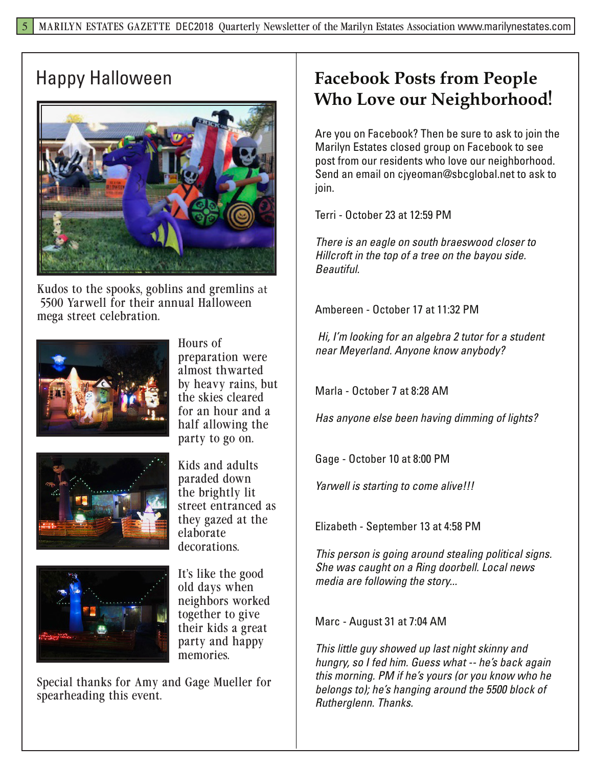

Kudos to the spooks, goblins and gremlins at 5500 Yarwell for their annual Halloween mega street celebration.









Kids and adults paraded down the brightly lit street entranced as they gazed at the elaborate decorations.

It's like the good old days when neighbors worked together to give their kids a great party and happy memories.

Special thanks for Amy and Gage Mueller for spearheading this event.

## Happy Halloween **Facebook Posts from People Who Love our Neighborhood**!

Are you on Facebook? Then be sure to ask to join the Marilyn Estates closed group on Facebook to see post from our residents who love our neighborhood. Send an email on cjyeoman@sbcglobal.net to ask to join.

Terri - October 23 at 12:59 PM

*There is an eagle on south braeswood closer to Hillcroft in the top of a tree on the bayou side. Beautiful.*

Ambereen - October 17 at 11:32 PM

 *Hi, I'm looking for an algebra 2 tutor for a student near Meyerland. Anyone know anybody?*

Marla - October 7 at 8:28 AM

*Has anyone else been having dimming of lights?*

Gage - October 10 at 8:00 PM

*Yarwell is starting to come alive!!!*

Elizabeth - September 13 at 4:58 PM

*This person is going around stealing political signs. She was caught on a Ring doorbell. Local news media are following the story...*

Marc - August 31 at 7:04 AM

*This little guy showed up last night skinny and hungry, so I fed him. Guess what -- he's back again this morning. PM if he's yours (or you know who he belongs to); he's hanging around the 5500 block of Rutherglenn. Thanks.*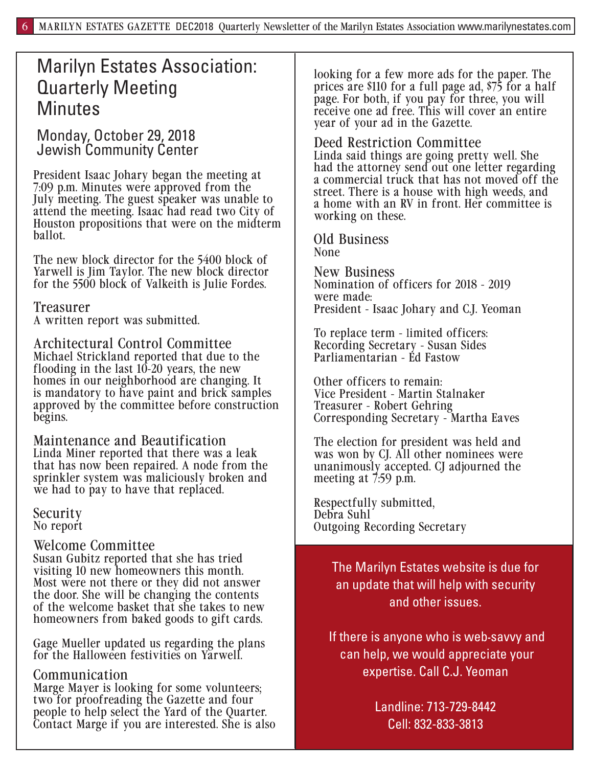## Marilyn Estates Association: Quarterly Meeting **Minutes**

Monday, October 29, 2018 Jewish Community Center

President Isaac Johary began the meeting at 7:09 p.m. Minutes were approved from the July meeting. The guest speaker was unable to attend the meeting. Isaac had read two City of Houston propositions that were on the midterm ballot.

The new block director for the 5400 block of Yarwell is Jim Taylor. The new block director for the 5500 block of Valkeith is Julie Fordes.

## Treasurer

A written report was submitted.

Architectural Control Committee Michael Strickland reported that due to the flooding in the last  $10-20$  years, the new homes in our neighborhood are changing. It is mandatory to have paint and brick samples approved by the committee before construction begins.

Maintenance and Beautification Linda Miner reported that there was a leak that has now been repaired. A node from the sprinkler system was maliciously broken and we had to pay to have that replaced.

Security No report

## Welcome Committee

Susan Gubitz reported that she has tried visiting 10 new homeowners this month. Most were not there or they did not answer the door. She will be changing the contents of the welcome basket that she takes to new homeowners from baked goods to gift cards.

Gage Mueller updated us regarding the plans for the Halloween festivities on Yarwell.

## Communication

Marge Mayer is looking for some volunteers; two for proofreading the Gazette and four people to help select the Yard of the Quarter. Contact Marge if you are interested. She is also

looking for a few more ads for the paper. The prices are \$110 for a full page ad, \$75 for a half page. For both, if you pay for three, you will receive one ad free. This will cover an entire year of your ad in the Gazette.

### Deed Restriction Committee

Linda said things are going pretty well. She had the attorney send out one letter regarding a commercial truck that has not moved off the street. There is a house with high weeds, and a home with an RV in front. Her committee is working on these.

Old Business None

New Business Nomination of officers for 2018 - 2019 were made: President - Isaac Johary and C.J. Yeoman

To replace term - limited officers: Recording Secretary - Susan Sides Parliamentarian - Ed Fastow

Other officers to remain: Vice President - Martin Stalnaker Treasurer - Robert Gehring Corresponding Secretary - Martha Eaves

The election for president was held and was won by CJ. All other nominees were unanimously accepted. CJ adjourned the meeting at 7:59 p.m.

Respectfully submitted, Debra Suhl Outgoing Recording Secretary

> The Marilyn Estates website is due for an update that will help with security and other issues.

If there is anyone who is web-savvy and can help, we would appreciate your expertise. Call C.J. Yeoman

> Landline: 713-729-8442 Cell: 832-833-3813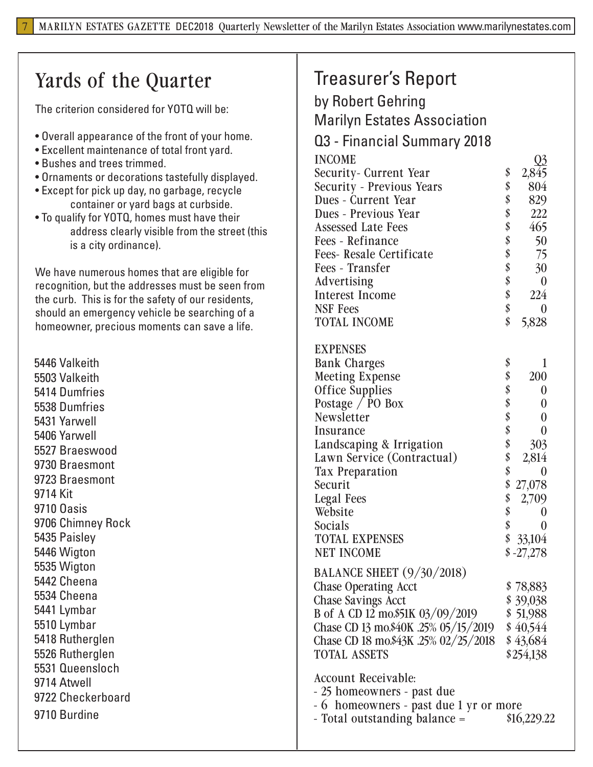# Yards of the Quarter

The criterion considered for YOTQ will be:

- Overall appearance of the front of your home.
- Excellent maintenance of total front yard.
- Bushes and trees trimmed.

7

- Ornaments or decorations tastefully displayed.
- Except for pick up day, no garbage, recycle container or yard bags at curbside.
- To qualify for YOTQ, homes must have their address clearly visible from the street (this is a city ordinance).

We have numerous homes that are eligible for recognition, but the addresses must be seen from the curb. This is for the safety of our residents, should an emergency vehicle be searching of a homeowner, precious moments can save a life.

9710 Burdine 5446 Valkeith 5503 Valkeith 5414 Dumfries 5538 Dumfries 5431 Yarwell 5406 Yarwell 5527 Braeswood 9730 Braesmont 9723 Braesmont 9714 Kit 9710 Oasis 9706 Chimney Rock 5435 Paisley 5446 Wigton 5535 Wigton 5442 Cheena 5534 Cheena 5441 Lymbar 5510 Lymbar 5418 Rutherglen 5526 Rutherglen 5531 Queensloch 9714 Atwell 9722 Checkerboard

## Treasurer's Report

by Robert Gehring Marilyn Estates Association Q3 - Financial Summary 2018

| <u>IMIIVIMI VUIIIIIIMI</u>           |          |                  |
|--------------------------------------|----------|------------------|
| <b>INCOME</b>                        |          | <u>Q3</u>        |
| Security- Current Year               | \$       | 2,845            |
| <b>Security - Previous Years</b>     | \$       | 804              |
| Dues - Current Year                  | \$       | 829              |
| Dues - Previous Year                 | \$       | 222              |
| <b>Assessed Late Fees</b>            | \$       | 465              |
| Fees - Refinance                     | \$<br>\$ | 50               |
| <b>Fees- Resale Certificate</b>      |          | 75               |
| Fees - Transfer                      | \$       | 30               |
| Advertising                          | \$       | $\boldsymbol{0}$ |
| <b>Interest Income</b>               | \$       | 224              |
| <b>NSF Fees</b>                      | \$       | $\boldsymbol{0}$ |
| <b>TOTAL INCOME</b>                  | \$       | 5,828            |
|                                      |          |                  |
| <b>EXPENSES</b>                      |          |                  |
| <b>Bank Charges</b>                  | \$       | 1                |
| <b>Meeting Expense</b>               | \$       | 200              |
| <b>Office Supplies</b>               | \$       | $\boldsymbol{0}$ |
| Postage / PO Box                     | \$<br>\$ | $\boldsymbol{0}$ |
| Newsletter                           |          | $\boldsymbol{0}$ |
| Insurance                            | \$       | $\overline{0}$   |
| Landscaping & Irrigation             | \$       | 303              |
| Lawn Service (Contractual)           | \$       | 2,814            |
| <b>Tax Preparation</b>               | \$       | 0                |
| Securit                              | \$       | 27,078           |
| <b>Legal Fees</b>                    | \$       | 2,709            |
| Website                              | \$       | $\pmb{0}$        |
| Socials                              | \$       | $\boldsymbol{0}$ |
| <b>TOTAL EXPENSES</b>                |          | \$33,104         |
| <b>NET INCOME</b>                    |          | $$ -27,278$      |
| <b>BALANCE SHEET</b> (9/30/2018)     |          |                  |
| <b>Chase Operating Acct</b>          |          | \$78,883         |
| <b>Chase Savings Acct</b>            |          | \$39,038         |
| B of A CD 12 mo.\$51K 03/09/2019     |          | \$51,988         |
| Chase CD 13 mo.\$40K .25% 05/15/2019 |          | \$40,544         |
| Chase CD 18 mo.\$43K .25% 02/25/2018 |          | \$43,684         |
| <b>TOTAL ASSETS</b>                  |          | \$254,138        |
|                                      |          |                  |

Account Receivable:

- 25 homeowners - past due

- 6 homeowners - past due 1 yr or more

- Total outstanding balance =  $$16,229.22$